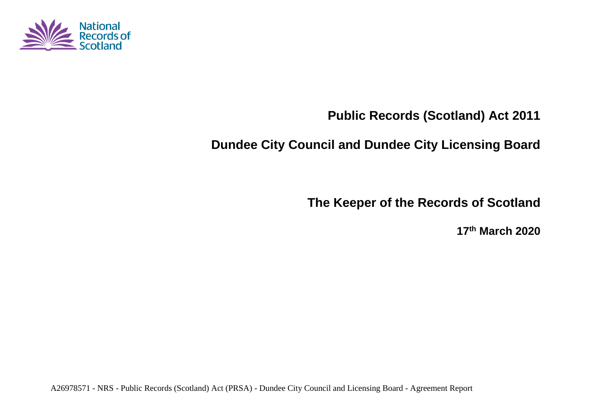

# **Public Records (Scotland) Act 2011**

# **Dundee City Council and Dundee City Licensing Board**

**The Keeper of the Records of Scotland**

**17th March 2020**

A26978571 - NRS - Public Records (Scotland) Act (PRSA) - Dundee City Council and Licensing Board - Agreement Report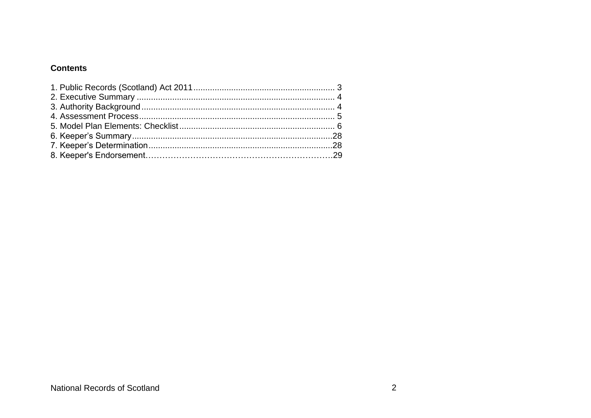#### **Contents**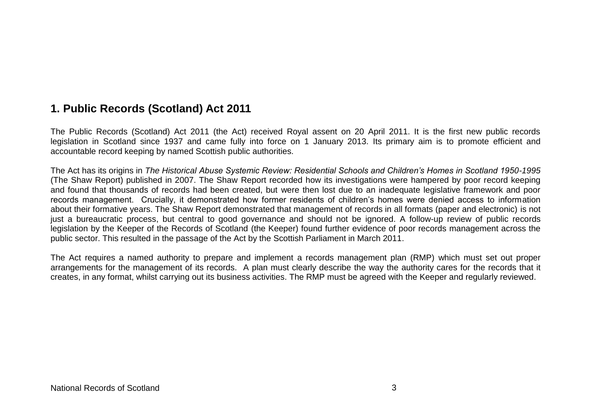## **1. Public Records (Scotland) Act 2011**

The Public Records (Scotland) Act 2011 (the Act) received Royal assent on 20 April 2011. It is the first new public records legislation in Scotland since 1937 and came fully into force on 1 January 2013. Its primary aim is to promote efficient and accountable record keeping by named Scottish public authorities.

The Act has its origins in *The Historical Abuse Systemic Review: Residential Schools and Children's Homes in Scotland 1950-1995* (The Shaw Report) published in 2007. The Shaw Report recorded how its investigations were hampered by poor record keeping and found that thousands of records had been created, but were then lost due to an inadequate legislative framework and poor records management. Crucially, it demonstrated how former residents of children's homes were denied access to information about their formative years. The Shaw Report demonstrated that management of records in all formats (paper and electronic) is not just a bureaucratic process, but central to good governance and should not be ignored. A follow-up review of public records legislation by the Keeper of the Records of Scotland (the Keeper) found further evidence of poor records management across the public sector. This resulted in the passage of the Act by the Scottish Parliament in March 2011.

The Act requires a named authority to prepare and implement a records management plan (RMP) which must set out proper arrangements for the management of its records. A plan must clearly describe the way the authority cares for the records that it creates, in any format, whilst carrying out its business activities. The RMP must be agreed with the Keeper and regularly reviewed.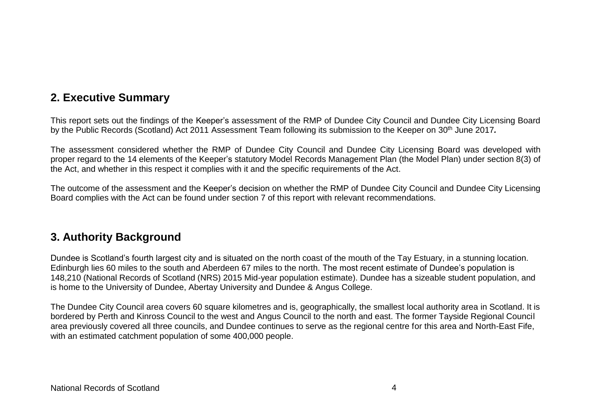## **2. Executive Summary**

This report sets out the findings of the Keeper's assessment of the RMP of Dundee City Council and Dundee City Licensing Board by the Public Records (Scotland) Act 2011 Assessment Team following its submission to the Keeper on 30th June 2017*.*

The assessment considered whether the RMP of Dundee City Council and Dundee City Licensing Board was developed with proper regard to the 14 elements of the Keeper's statutory Model Records Management Plan (the Model Plan) under section 8(3) of the Act, and whether in this respect it complies with it and the specific requirements of the Act.

The outcome of the assessment and the Keeper's decision on whether the RMP of Dundee City Council and Dundee City Licensing Board complies with the Act can be found under section 7 of this report with relevant recommendations.

## **3. Authority Background**

Dundee is Scotland's fourth largest city and is situated on the north coast of the mouth of the Tay Estuary, in a stunning location. Edinburgh lies 60 miles to the south and Aberdeen 67 miles to the north. The most recent estimate of Dundee's population is 148,210 (National Records of Scotland (NRS) 2015 Mid-year population estimate). Dundee has a sizeable student population, and is home to the University of Dundee, Abertay University and Dundee & Angus College.

The Dundee City Council area covers 60 square kilometres and is, geographically, the smallest local authority area in Scotland. It is bordered by Perth and Kinross Council to the west and Angus Council to the north and east. The former Tayside Regional Council area previously covered all three councils, and Dundee continues to serve as the regional centre for this area and North-East Fife, with an estimated catchment population of some 400,000 people.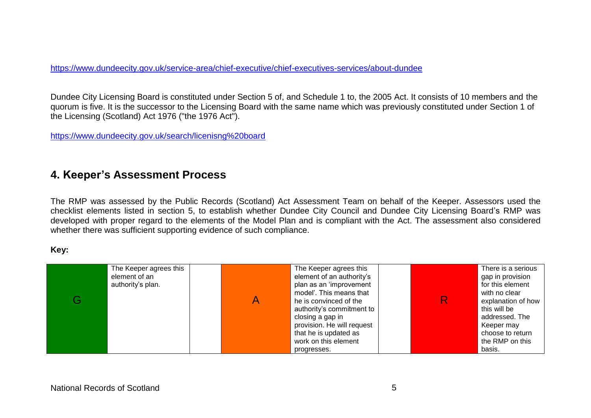<https://www.dundeecity.gov.uk/service-area/chief-executive/chief-executives-services/about-dundee>

Dundee City Licensing Board is constituted under Section 5 of, and Schedule 1 to, the 2005 Act. It consists of 10 members and the quorum is five. It is the successor to the Licensing Board with the same name which was previously constituted under Section 1 of the Licensing (Scotland) Act 1976 ("the 1976 Act").

<https://www.dundeecity.gov.uk/search/licenisng%20board>

## **4. Keeper's Assessment Process**

The RMP was assessed by the Public Records (Scotland) Act Assessment Team on behalf of the Keeper. Assessors used the checklist elements listed in section 5, to establish whether Dundee City Council and Dundee City Licensing Board's RMP was developed with proper regard to the elements of the Model Plan and is compliant with the Act. The assessment also considered whether there was sufficient supporting evidence of such compliance.

#### **Key:**

| G | The Keeper agrees this<br>element of an<br>authority's plan. | The Keeper agrees this<br>element of an authority's<br>plan as an 'improvement<br>model'. This means that<br>he is convinced of the<br>authority's commitment to<br>closing a gap in<br>provision. He will request<br>that he is updated as |  | There is a serious<br>gap in provision<br>for this element<br>with no clear<br>explanation of how<br>this will be<br>addressed. The<br>Keeper may<br>choose to return |
|---|--------------------------------------------------------------|---------------------------------------------------------------------------------------------------------------------------------------------------------------------------------------------------------------------------------------------|--|-----------------------------------------------------------------------------------------------------------------------------------------------------------------------|
|   |                                                              | work on this element<br>progresses.                                                                                                                                                                                                         |  | the RMP on this<br>basis.                                                                                                                                             |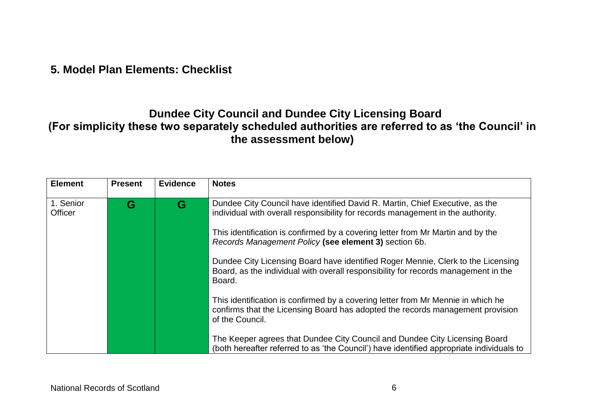#### **5. Model Plan Elements: Checklist**

# **Dundee City Council and Dundee City Licensing Board (For simplicity these two separately scheduled authorities are referred to as 'the Council' in the assessment below)**

| <b>Element</b>       | <b>Present</b> | <b>Evidence</b> | <b>Notes</b>                                                                                                                                                                          |
|----------------------|----------------|-----------------|---------------------------------------------------------------------------------------------------------------------------------------------------------------------------------------|
| 1. Senior<br>Officer | G              | G               | Dundee City Council have identified David R. Martin, Chief Executive, as the<br>individual with overall responsibility for records management in the authority.                       |
|                      |                |                 | This identification is confirmed by a covering letter from Mr Martin and by the<br>Records Management Policy (see element 3) section 6b.                                              |
|                      |                |                 | Dundee City Licensing Board have identified Roger Mennie, Clerk to the Licensing<br>Board, as the individual with overall responsibility for records management in the<br>Board.      |
|                      |                |                 | This identification is confirmed by a covering letter from Mr Mennie in which he<br>confirms that the Licensing Board has adopted the records management provision<br>of the Council. |
|                      |                |                 | The Keeper agrees that Dundee City Council and Dundee City Licensing Board<br>(both hereafter referred to as 'the Council') have identified appropriate individuals to                |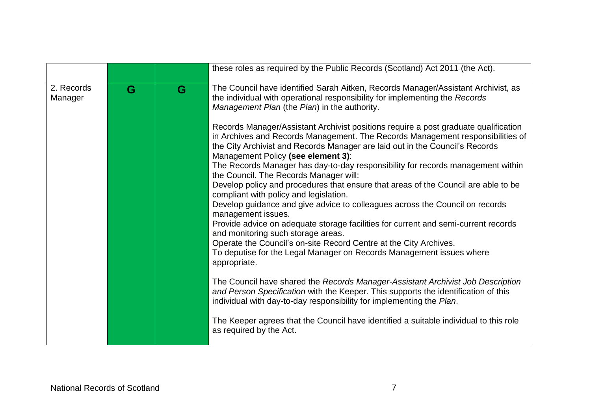|                       |   |   | these roles as required by the Public Records (Scotland) Act 2011 (the Act).                                                                                                                                                                                                                                                                                                                                                                                                                                                                                                                                                                                                                                                                                                                                                                                                                                                                                                                                                                                                                                                                                                |
|-----------------------|---|---|-----------------------------------------------------------------------------------------------------------------------------------------------------------------------------------------------------------------------------------------------------------------------------------------------------------------------------------------------------------------------------------------------------------------------------------------------------------------------------------------------------------------------------------------------------------------------------------------------------------------------------------------------------------------------------------------------------------------------------------------------------------------------------------------------------------------------------------------------------------------------------------------------------------------------------------------------------------------------------------------------------------------------------------------------------------------------------------------------------------------------------------------------------------------------------|
| 2. Records<br>Manager | G | G | The Council have identified Sarah Aitken, Records Manager/Assistant Archivist, as<br>the individual with operational responsibility for implementing the Records<br>Management Plan (the Plan) in the authority.<br>Records Manager/Assistant Archivist positions require a post graduate qualification<br>in Archives and Records Management. The Records Management responsibilities of<br>the City Archivist and Records Manager are laid out in the Council's Records<br>Management Policy (see element 3):<br>The Records Manager has day-to-day responsibility for records management within<br>the Council. The Records Manager will:<br>Develop policy and procedures that ensure that areas of the Council are able to be<br>compliant with policy and legislation.<br>Develop guidance and give advice to colleagues across the Council on records<br>management issues.<br>Provide advice on adequate storage facilities for current and semi-current records<br>and monitoring such storage areas.<br>Operate the Council's on-site Record Centre at the City Archives.<br>To deputise for the Legal Manager on Records Management issues where<br>appropriate. |
|                       |   |   | The Council have shared the Records Manager-Assistant Archivist Job Description<br>and Person Specification with the Keeper. This supports the identification of this<br>individual with day-to-day responsibility for implementing the Plan.<br>The Keeper agrees that the Council have identified a suitable individual to this role<br>as required by the Act.                                                                                                                                                                                                                                                                                                                                                                                                                                                                                                                                                                                                                                                                                                                                                                                                           |
|                       |   |   |                                                                                                                                                                                                                                                                                                                                                                                                                                                                                                                                                                                                                                                                                                                                                                                                                                                                                                                                                                                                                                                                                                                                                                             |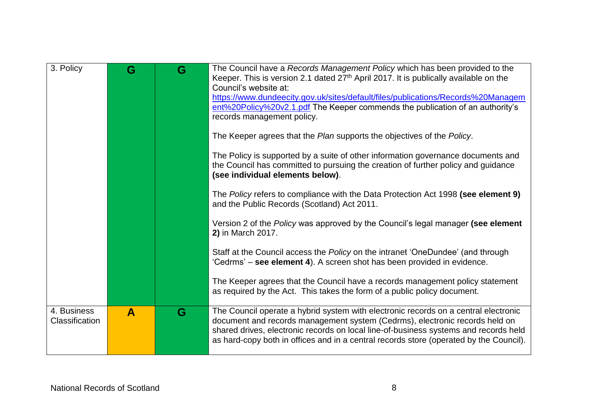| 3. Policy                     | G | G | The Council have a Records Management Policy which has been provided to the<br>Keeper. This is version 2.1 dated 27 <sup>th</sup> April 2017. It is publically available on the<br>Council's website at:                                                                                                                                             |
|-------------------------------|---|---|------------------------------------------------------------------------------------------------------------------------------------------------------------------------------------------------------------------------------------------------------------------------------------------------------------------------------------------------------|
|                               |   |   | https://www.dundeecity.gov.uk/sites/default/files/publications/Records%20Managem<br>ent%20Policy%20v2.1.pdf The Keeper commends the publication of an authority's<br>records management policy.                                                                                                                                                      |
|                               |   |   | The Keeper agrees that the Plan supports the objectives of the Policy.                                                                                                                                                                                                                                                                               |
|                               |   |   | The Policy is supported by a suite of other information governance documents and<br>the Council has committed to pursuing the creation of further policy and guidance<br>(see individual elements below).                                                                                                                                            |
|                               |   |   | The Policy refers to compliance with the Data Protection Act 1998 (see element 9)<br>and the Public Records (Scotland) Act 2011.                                                                                                                                                                                                                     |
|                               |   |   | Version 2 of the Policy was approved by the Council's legal manager (see element<br>2) in March 2017.                                                                                                                                                                                                                                                |
|                               |   |   | Staff at the Council access the Policy on the intranet 'OneDundee' (and through<br>'Cedrms' – see element 4). A screen shot has been provided in evidence.                                                                                                                                                                                           |
|                               |   |   | The Keeper agrees that the Council have a records management policy statement<br>as required by the Act. This takes the form of a public policy document.                                                                                                                                                                                            |
| 4. Business<br>Classification | A | G | The Council operate a hybrid system with electronic records on a central electronic<br>document and records management system (Cedrms), electronic records held on<br>shared drives, electronic records on local line-of-business systems and records held<br>as hard-copy both in offices and in a central records store (operated by the Council). |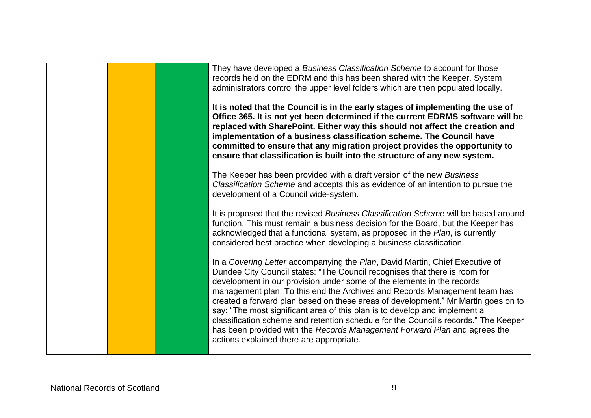| They have developed a Business Classification Scheme to account for those                                                                                                                                                                                                                                                                                                                                                                                                                                                                                                                                                                                                                            |
|------------------------------------------------------------------------------------------------------------------------------------------------------------------------------------------------------------------------------------------------------------------------------------------------------------------------------------------------------------------------------------------------------------------------------------------------------------------------------------------------------------------------------------------------------------------------------------------------------------------------------------------------------------------------------------------------------|
| records held on the EDRM and this has been shared with the Keeper. System                                                                                                                                                                                                                                                                                                                                                                                                                                                                                                                                                                                                                            |
| administrators control the upper level folders which are then populated locally.                                                                                                                                                                                                                                                                                                                                                                                                                                                                                                                                                                                                                     |
|                                                                                                                                                                                                                                                                                                                                                                                                                                                                                                                                                                                                                                                                                                      |
| It is noted that the Council is in the early stages of implementing the use of<br>Office 365. It is not yet been determined if the current EDRMS software will be<br>replaced with SharePoint. Either way this should not affect the creation and<br>implementation of a business classification scheme. The Council have<br>committed to ensure that any migration project provides the opportunity to<br>ensure that classification is built into the structure of any new system.                                                                                                                                                                                                                 |
| The Keeper has been provided with a draft version of the new Business<br>Classification Scheme and accepts this as evidence of an intention to pursue the<br>development of a Council wide-system.                                                                                                                                                                                                                                                                                                                                                                                                                                                                                                   |
| It is proposed that the revised Business Classification Scheme will be based around<br>function. This must remain a business decision for the Board, but the Keeper has<br>acknowledged that a functional system, as proposed in the Plan, is currently<br>considered best practice when developing a business classification.                                                                                                                                                                                                                                                                                                                                                                       |
| In a Covering Letter accompanying the Plan, David Martin, Chief Executive of<br>Dundee City Council states: "The Council recognises that there is room for<br>development in our provision under some of the elements in the records<br>management plan. To this end the Archives and Records Management team has<br>created a forward plan based on these areas of development." Mr Martin goes on to<br>say: "The most significant area of this plan is to develop and implement a<br>classification scheme and retention schedule for the Council's records." The Keeper<br>has been provided with the Records Management Forward Plan and agrees the<br>actions explained there are appropriate. |
|                                                                                                                                                                                                                                                                                                                                                                                                                                                                                                                                                                                                                                                                                                      |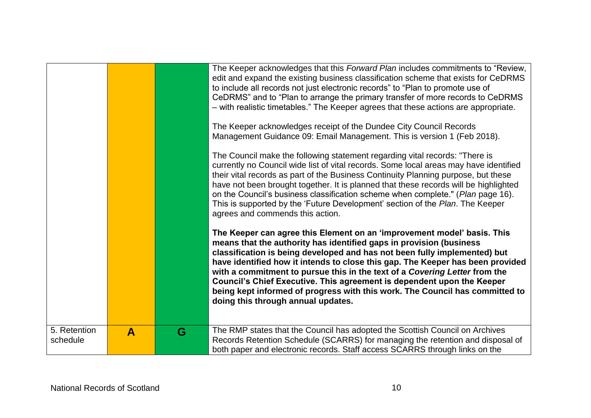|                          |              |   | The Keeper acknowledges that this Forward Plan includes commitments to "Review,<br>edit and expand the existing business classification scheme that exists for CeDRMS<br>to include all records not just electronic records" to "Plan to promote use of<br>CeDRMS" and to "Plan to arrange the primary transfer of more records to CeDRMS<br>- with realistic timetables." The Keeper agrees that these actions are appropriate.<br>The Keeper acknowledges receipt of the Dundee City Council Records<br>Management Guidance 09: Email Management. This is version 1 (Feb 2018).<br>The Council make the following statement regarding vital records: "There is<br>currently no Council wide list of vital records. Some local areas may have identified<br>their vital records as part of the Business Continuity Planning purpose, but these<br>have not been brought together. It is planned that these records will be highlighted<br>on the Council's business classification scheme when complete." (Plan page 16).<br>This is supported by the 'Future Development' section of the Plan. The Keeper<br>agrees and commends this action.<br>The Keeper can agree this Element on an 'improvement model' basis. This<br>means that the authority has identified gaps in provision (business<br>classification is being developed and has not been fully implemented) but<br>have identified how it intends to close this gap. The Keeper has been provided<br>with a commitment to pursue this in the text of a Covering Letter from the<br>Council's Chief Executive. This agreement is dependent upon the Keeper |
|--------------------------|--------------|---|--------------------------------------------------------------------------------------------------------------------------------------------------------------------------------------------------------------------------------------------------------------------------------------------------------------------------------------------------------------------------------------------------------------------------------------------------------------------------------------------------------------------------------------------------------------------------------------------------------------------------------------------------------------------------------------------------------------------------------------------------------------------------------------------------------------------------------------------------------------------------------------------------------------------------------------------------------------------------------------------------------------------------------------------------------------------------------------------------------------------------------------------------------------------------------------------------------------------------------------------------------------------------------------------------------------------------------------------------------------------------------------------------------------------------------------------------------------------------------------------------------------------------------------------------------------------------------------------------------------------------|
|                          |              |   | being kept informed of progress with this work. The Council has committed to<br>doing this through annual updates.                                                                                                                                                                                                                                                                                                                                                                                                                                                                                                                                                                                                                                                                                                                                                                                                                                                                                                                                                                                                                                                                                                                                                                                                                                                                                                                                                                                                                                                                                                       |
| 5. Retention<br>schedule | $\mathbf{A}$ | G | The RMP states that the Council has adopted the Scottish Council on Archives<br>Records Retention Schedule (SCARRS) for managing the retention and disposal of<br>both paper and electronic records. Staff access SCARRS through links on the                                                                                                                                                                                                                                                                                                                                                                                                                                                                                                                                                                                                                                                                                                                                                                                                                                                                                                                                                                                                                                                                                                                                                                                                                                                                                                                                                                            |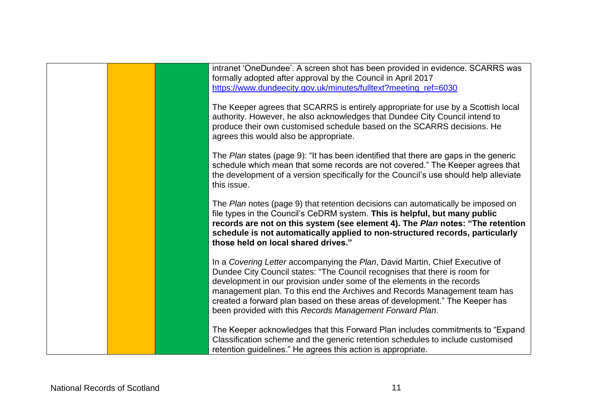|  | intranet 'OneDundee'. A screen shot has been provided in evidence. SCARRS was<br>formally adopted after approval by the Council in April 2017<br>https://www.dundeecity.gov.uk/minutes/fulltext?meeting_ref=6030                                                                                                                                                                                                                                             |
|--|--------------------------------------------------------------------------------------------------------------------------------------------------------------------------------------------------------------------------------------------------------------------------------------------------------------------------------------------------------------------------------------------------------------------------------------------------------------|
|  | The Keeper agrees that SCARRS is entirely appropriate for use by a Scottish local<br>authority. However, he also acknowledges that Dundee City Council intend to<br>produce their own customised schedule based on the SCARRS decisions. He<br>agrees this would also be appropriate.                                                                                                                                                                        |
|  | The Plan states (page 9): "It has been identified that there are gaps in the generic<br>schedule which mean that some records are not covered." The Keeper agrees that<br>the development of a version specifically for the Council's use should help alleviate<br>this issue.                                                                                                                                                                               |
|  | The Plan notes (page 9) that retention decisions can automatically be imposed on<br>file types in the Council's CeDRM system. This is helpful, but many public<br>records are not on this system (see element 4). The Plan notes: "The retention<br>schedule is not automatically applied to non-structured records, particularly<br>those held on local shared drives."                                                                                     |
|  | In a Covering Letter accompanying the Plan, David Martin, Chief Executive of<br>Dundee City Council states: "The Council recognises that there is room for<br>development in our provision under some of the elements in the records<br>management plan. To this end the Archives and Records Management team has<br>created a forward plan based on these areas of development." The Keeper has<br>been provided with this Records Management Forward Plan. |
|  | The Keeper acknowledges that this Forward Plan includes commitments to "Expand"<br>Classification scheme and the generic retention schedules to include customised<br>retention guidelines." He agrees this action is appropriate.                                                                                                                                                                                                                           |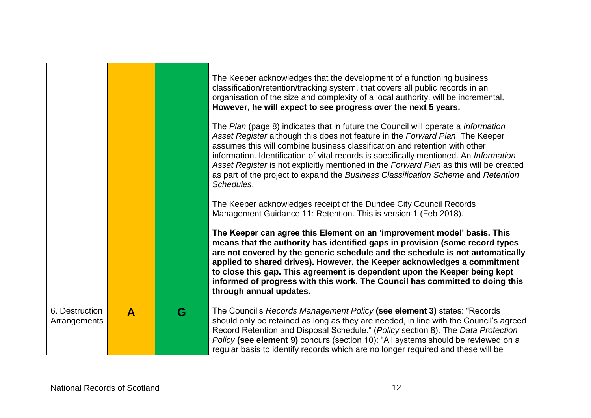|                                |              |   | The Keeper acknowledges that the development of a functioning business<br>classification/retention/tracking system, that covers all public records in an<br>organisation of the size and complexity of a local authority, will be incremental.<br>However, he will expect to see progress over the next 5 years.                                                                                                                                                                                                                        |
|--------------------------------|--------------|---|-----------------------------------------------------------------------------------------------------------------------------------------------------------------------------------------------------------------------------------------------------------------------------------------------------------------------------------------------------------------------------------------------------------------------------------------------------------------------------------------------------------------------------------------|
|                                |              |   | The Plan (page 8) indicates that in future the Council will operate a Information<br>Asset Register although this does not feature in the Forward Plan. The Keeper<br>assumes this will combine business classification and retention with other<br>information. Identification of vital records is specifically mentioned. An Information<br>Asset Register is not explicitly mentioned in the Forward Plan as this will be created<br>as part of the project to expand the Business Classification Scheme and Retention<br>Schedules. |
|                                |              |   | The Keeper acknowledges receipt of the Dundee City Council Records<br>Management Guidance 11: Retention. This is version 1 (Feb 2018).                                                                                                                                                                                                                                                                                                                                                                                                  |
|                                |              |   | The Keeper can agree this Element on an 'improvement model' basis. This<br>means that the authority has identified gaps in provision (some record types<br>are not covered by the generic schedule and the schedule is not automatically<br>applied to shared drives). However, the Keeper acknowledges a commitment<br>to close this gap. This agreement is dependent upon the Keeper being kept<br>informed of progress with this work. The Council has committed to doing this<br>through annual updates.                            |
| 6. Destruction<br>Arrangements | $\mathbf{A}$ | G | The Council's Records Management Policy (see element 3) states: "Records<br>should only be retained as long as they are needed, in line with the Council's agreed<br>Record Retention and Disposal Schedule." (Policy section 8). The Data Protection<br>Policy (see element 9) concurs (section 10): "All systems should be reviewed on a<br>regular basis to identify records which are no longer required and these will be                                                                                                          |

- 5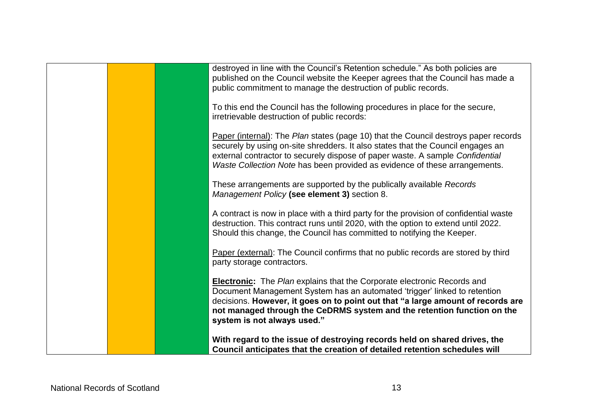|  | destroyed in line with the Council's Retention schedule." As both policies are<br>published on the Council website the Keeper agrees that the Council has made a<br>public commitment to manage the destruction of public records.                                                                                                                       |
|--|----------------------------------------------------------------------------------------------------------------------------------------------------------------------------------------------------------------------------------------------------------------------------------------------------------------------------------------------------------|
|  | To this end the Council has the following procedures in place for the secure,<br>irretrievable destruction of public records:                                                                                                                                                                                                                            |
|  | Paper (internal): The Plan states (page 10) that the Council destroys paper records<br>securely by using on-site shredders. It also states that the Council engages an<br>external contractor to securely dispose of paper waste. A sample Confidential<br>Waste Collection Note has been provided as evidence of these arrangements.                    |
|  | These arrangements are supported by the publically available Records<br>Management Policy (see element 3) section 8.                                                                                                                                                                                                                                     |
|  | A contract is now in place with a third party for the provision of confidential waste<br>destruction. This contract runs until 2020, with the option to extend until 2022.<br>Should this change, the Council has committed to notifying the Keeper.                                                                                                     |
|  | Paper (external): The Council confirms that no public records are stored by third<br>party storage contractors.                                                                                                                                                                                                                                          |
|  | <b>Electronic:</b> The Plan explains that the Corporate electronic Records and<br>Document Management System has an automated 'trigger' linked to retention<br>decisions. However, it goes on to point out that "a large amount of records are<br>not managed through the CeDRMS system and the retention function on the<br>system is not always used." |
|  | With regard to the issue of destroying records held on shared drives, the<br>Council anticipates that the creation of detailed retention schedules will                                                                                                                                                                                                  |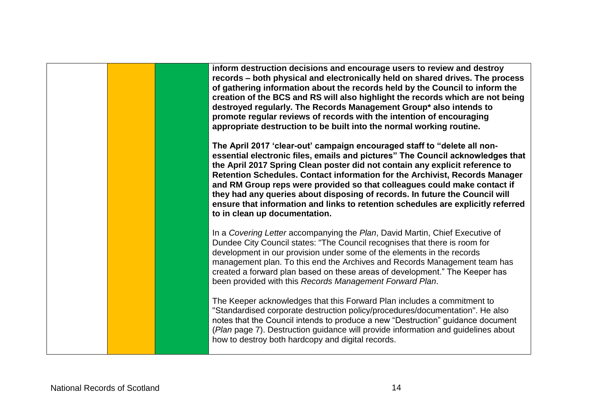**inform destruction decisions and encourage users to review and destroy records – both physical and electronically held on shared drives. The process of gathering information about the records held by the Council to inform the creation of the BCS and RS will also highlight the records which are not being destroyed regularly. The Records Management Group\* also intends to promote regular reviews of records with the intention of encouraging appropriate destruction to be built into the normal working routine.**

**The April 2017 'clear-out' campaign encouraged staff to "delete all nonessential electronic files, emails and pictures" The Council acknowledges that the April 2017 Spring Clean poster did not contain any explicit reference to Retention Schedules. Contact information for the Archivist, Records Manager and RM Group reps were provided so that colleagues could make contact if they had any queries about disposing of records. In future the Council will ensure that information and links to retention schedules are explicitly referred to in clean up documentation.** 

In a *Covering Letter* accompanying the *Plan*, David Martin, Chief Executive of Dundee City Council states: "The Council recognises that there is room for development in our provision under some of the elements in the records management plan. To this end the Archives and Records Management team has created a forward plan based on these areas of development." The Keeper has been provided with this *Records Management Forward Plan*.

The Keeper acknowledges that this Forward Plan includes a commitment to "Standardised corporate destruction policy/procedures/documentation". He also notes that the Council intends to produce a new "Destruction" guidance document (*Plan* page 7). Destruction guidance will provide information and guidelines about how to destroy both hardcopy and digital records.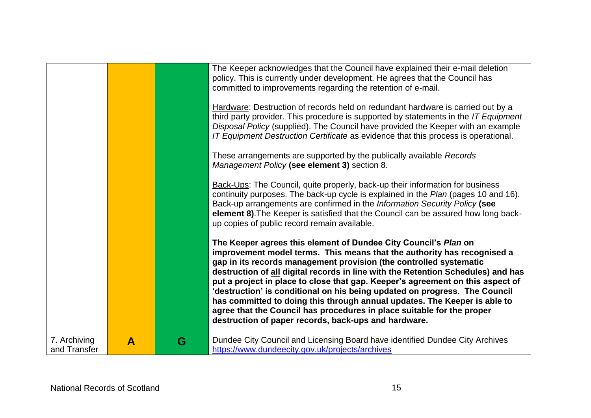|                              |   |   | The Keeper acknowledges that the Council have explained their e-mail deletion<br>policy. This is currently under development. He agrees that the Council has<br>committed to improvements regarding the retention of e-mail.<br>Hardware: Destruction of records held on redundant hardware is carried out by a<br>third party provider. This procedure is supported by statements in the IT Equipment<br>Disposal Policy (supplied). The Council have provided the Keeper with an example<br>IT Equipment Destruction Certificate as evidence that this process is operational.<br>These arrangements are supported by the publically available Records<br>Management Policy (see element 3) section 8.<br>Back-Ups: The Council, quite properly, back-up their information for business<br>continuity purposes. The back-up cycle is explained in the Plan (pages 10 and 16).<br>Back-up arrangements are confirmed in the Information Security Policy (see<br>element 8). The Keeper is satisfied that the Council can be assured how long back-<br>up copies of public record remain available.<br>The Keeper agrees this element of Dundee City Council's Plan on<br>improvement model terms. This means that the authority has recognised a<br>gap in its records management provision (the controlled systematic<br>destruction of all digital records in line with the Retention Schedules) and has<br>put a project in place to close that gap. Keeper's agreement on this aspect of<br>'destruction' is conditional on his being updated on progress. The Council<br>has committed to doing this through annual updates. The Keeper is able to<br>agree that the Council has procedures in place suitable for the proper<br>destruction of paper records, back-ups and hardware. |
|------------------------------|---|---|--------------------------------------------------------------------------------------------------------------------------------------------------------------------------------------------------------------------------------------------------------------------------------------------------------------------------------------------------------------------------------------------------------------------------------------------------------------------------------------------------------------------------------------------------------------------------------------------------------------------------------------------------------------------------------------------------------------------------------------------------------------------------------------------------------------------------------------------------------------------------------------------------------------------------------------------------------------------------------------------------------------------------------------------------------------------------------------------------------------------------------------------------------------------------------------------------------------------------------------------------------------------------------------------------------------------------------------------------------------------------------------------------------------------------------------------------------------------------------------------------------------------------------------------------------------------------------------------------------------------------------------------------------------------------------------------------------------------------------------------------------------------------------------------|
| 7. Archiving<br>and Transfer | A | G | Dundee City Council and Licensing Board have identified Dundee City Archives<br>https://www.dundeecity.gov.uk/projects/archives                                                                                                                                                                                                                                                                                                                                                                                                                                                                                                                                                                                                                                                                                                                                                                                                                                                                                                                                                                                                                                                                                                                                                                                                                                                                                                                                                                                                                                                                                                                                                                                                                                                            |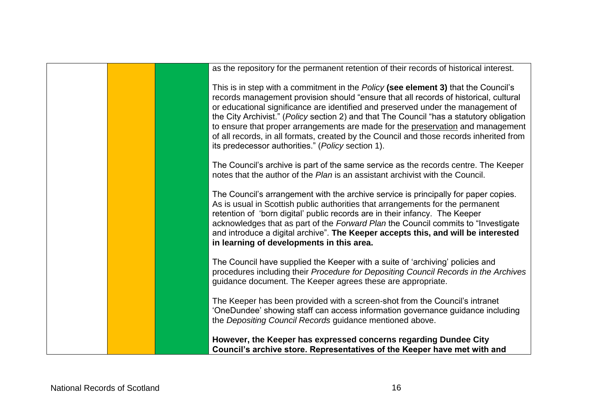| as the repository for the permanent retention of their records of historical interest.                                                                                                                                                                                                                                                                                                                                                                                                                                                                                                        |
|-----------------------------------------------------------------------------------------------------------------------------------------------------------------------------------------------------------------------------------------------------------------------------------------------------------------------------------------------------------------------------------------------------------------------------------------------------------------------------------------------------------------------------------------------------------------------------------------------|
| This is in step with a commitment in the Policy (see element 3) that the Council's<br>records management provision should "ensure that all records of historical, cultural<br>or educational significance are identified and preserved under the management of<br>the City Archivist." (Policy section 2) and that The Council "has a statutory obligation<br>to ensure that proper arrangements are made for the preservation and management<br>of all records, in all formats, created by the Council and those records inherited from<br>its predecessor authorities." (Policy section 1). |
| The Council's archive is part of the same service as the records centre. The Keeper<br>notes that the author of the Plan is an assistant archivist with the Council.                                                                                                                                                                                                                                                                                                                                                                                                                          |
| The Council's arrangement with the archive service is principally for paper copies.<br>As is usual in Scottish public authorities that arrangements for the permanent<br>retention of 'born digital' public records are in their infancy. The Keeper<br>acknowledges that as part of the Forward Plan the Council commits to "Investigate<br>and introduce a digital archive". The Keeper accepts this, and will be interested<br>in learning of developments in this area.                                                                                                                   |
| The Council have supplied the Keeper with a suite of 'archiving' policies and<br>procedures including their Procedure for Depositing Council Records in the Archives<br>guidance document. The Keeper agrees these are appropriate.                                                                                                                                                                                                                                                                                                                                                           |
| The Keeper has been provided with a screen-shot from the Council's intranet<br>'OneDundee' showing staff can access information governance guidance including<br>the Depositing Council Records guidance mentioned above.                                                                                                                                                                                                                                                                                                                                                                     |
| However, the Keeper has expressed concerns regarding Dundee City<br>Council's archive store. Representatives of the Keeper have met with and                                                                                                                                                                                                                                                                                                                                                                                                                                                  |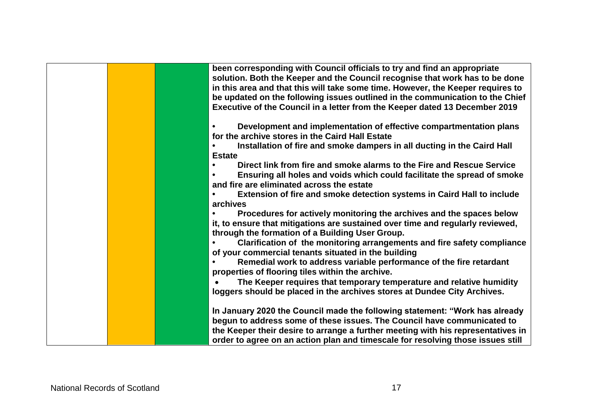| been corresponding with Council officials to try and find an appropriate<br>solution. Both the Keeper and the Council recognise that work has to be done<br>in this area and that this will take some time. However, the Keeper requires to<br>be updated on the following issues outlined in the communication to the Chief<br>Executive of the Council in a letter from the Keeper dated 13 December 2019 |
|-------------------------------------------------------------------------------------------------------------------------------------------------------------------------------------------------------------------------------------------------------------------------------------------------------------------------------------------------------------------------------------------------------------|
| Development and implementation of effective compartmentation plans<br>for the archive stores in the Caird Hall Estate<br>Installation of fire and smoke dampers in all ducting in the Caird Hall                                                                                                                                                                                                            |
| <b>Estate</b>                                                                                                                                                                                                                                                                                                                                                                                               |
| Direct link from fire and smoke alarms to the Fire and Rescue Service<br>Ensuring all holes and voids which could facilitate the spread of smoke<br>and fire are eliminated across the estate                                                                                                                                                                                                               |
| Extension of fire and smoke detection systems in Caird Hall to include                                                                                                                                                                                                                                                                                                                                      |
| archives                                                                                                                                                                                                                                                                                                                                                                                                    |
| Procedures for actively monitoring the archives and the spaces below<br>it, to ensure that mitigations are sustained over time and regularly reviewed,<br>through the formation of a Building User Group.                                                                                                                                                                                                   |
| Clarification of the monitoring arrangements and fire safety compliance<br>of your commercial tenants situated in the building                                                                                                                                                                                                                                                                              |
| Remedial work to address variable performance of the fire retardant<br>properties of flooring tiles within the archive.                                                                                                                                                                                                                                                                                     |
| The Keeper requires that temporary temperature and relative humidity                                                                                                                                                                                                                                                                                                                                        |
| loggers should be placed in the archives stores at Dundee City Archives.                                                                                                                                                                                                                                                                                                                                    |
| In January 2020 the Council made the following statement: "Work has already                                                                                                                                                                                                                                                                                                                                 |
| begun to address some of these issues. The Council have communicated to                                                                                                                                                                                                                                                                                                                                     |
| the Keeper their desire to arrange a further meeting with his representatives in                                                                                                                                                                                                                                                                                                                            |
| order to agree on an action plan and timescale for resolving those issues still                                                                                                                                                                                                                                                                                                                             |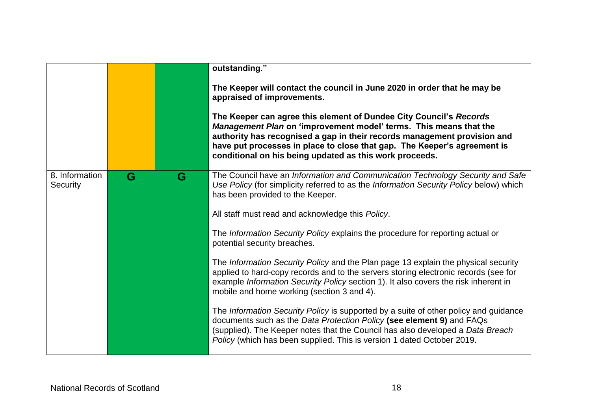|                            |   |   | outstanding."<br>The Keeper will contact the council in June 2020 in order that he may be<br>appraised of improvements.<br>The Keeper can agree this element of Dundee City Council's Records<br>Management Plan on 'improvement model' terms. This means that the<br>authority has recognised a gap in their records management provision and<br>have put processes in place to close that gap. The Keeper's agreement is<br>conditional on his being updated as this work proceeds.                                                                           |
|----------------------------|---|---|-----------------------------------------------------------------------------------------------------------------------------------------------------------------------------------------------------------------------------------------------------------------------------------------------------------------------------------------------------------------------------------------------------------------------------------------------------------------------------------------------------------------------------------------------------------------|
| 8. Information<br>Security | G | G | The Council have an Information and Communication Technology Security and Safe<br>Use Policy (for simplicity referred to as the Information Security Policy below) which<br>has been provided to the Keeper.<br>All staff must read and acknowledge this Policy.<br>The Information Security Policy explains the procedure for reporting actual or<br>potential security breaches.<br>The Information Security Policy and the Plan page 13 explain the physical security<br>applied to hard-copy records and to the servers storing electronic records (see for |
|                            |   |   | example Information Security Policy section 1). It also covers the risk inherent in<br>mobile and home working (section 3 and 4).<br>The Information Security Policy is supported by a suite of other policy and guidance<br>documents such as the Data Protection Policy (see element 9) and FAQs<br>(supplied). The Keeper notes that the Council has also developed a Data Breach<br>Policy (which has been supplied. This is version 1 dated October 2019.                                                                                                  |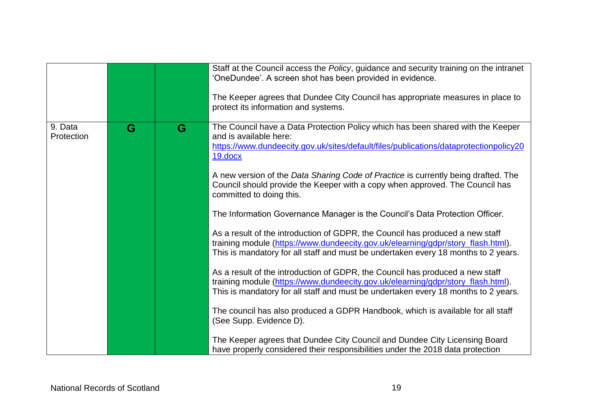|                       |   |   | Staff at the Council access the Policy, guidance and security training on the intranet<br>'OneDundee'. A screen shot has been provided in evidence.<br>The Keeper agrees that Dundee City Council has appropriate measures in place to<br>protect its information and systems. |
|-----------------------|---|---|--------------------------------------------------------------------------------------------------------------------------------------------------------------------------------------------------------------------------------------------------------------------------------|
| 9. Data<br>Protection | G | G | The Council have a Data Protection Policy which has been shared with the Keeper<br>and is available here:<br>https://www.dundeecity.gov.uk/sites/default/files/publications/dataprotectionpolicy20<br>19.docx                                                                  |
|                       |   |   | A new version of the Data Sharing Code of Practice is currently being drafted. The<br>Council should provide the Keeper with a copy when approved. The Council has<br>committed to doing this.                                                                                 |
|                       |   |   | The Information Governance Manager is the Council's Data Protection Officer.                                                                                                                                                                                                   |
|                       |   |   | As a result of the introduction of GDPR, the Council has produced a new staff<br>training module (https://www.dundeecity.gov.uk/elearning/gdpr/story_flash.html).<br>This is mandatory for all staff and must be undertaken every 18 months to 2 years.                        |
|                       |   |   | As a result of the introduction of GDPR, the Council has produced a new staff<br>training module (https://www.dundeecity.gov.uk/elearning/gdpr/story_flash.html).<br>This is mandatory for all staff and must be undertaken every 18 months to 2 years.                        |
|                       |   |   | The council has also produced a GDPR Handbook, which is available for all staff<br>(See Supp. Evidence D).                                                                                                                                                                     |
|                       |   |   | The Keeper agrees that Dundee City Council and Dundee City Licensing Board<br>have properly considered their responsibilities under the 2018 data protection                                                                                                                   |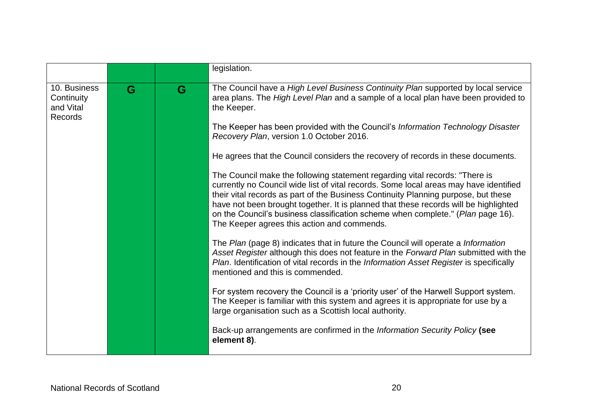|                                                    |   |   | legislation.                                                                                                                                                                                                                                                                                                                                                                                                                                                                         |
|----------------------------------------------------|---|---|--------------------------------------------------------------------------------------------------------------------------------------------------------------------------------------------------------------------------------------------------------------------------------------------------------------------------------------------------------------------------------------------------------------------------------------------------------------------------------------|
| 10. Business<br>Continuity<br>and Vital<br>Records | G | G | The Council have a High Level Business Continuity Plan supported by local service<br>area plans. The High Level Plan and a sample of a local plan have been provided to<br>the Keeper.                                                                                                                                                                                                                                                                                               |
|                                                    |   |   | The Keeper has been provided with the Council's Information Technology Disaster<br>Recovery Plan, version 1.0 October 2016.                                                                                                                                                                                                                                                                                                                                                          |
|                                                    |   |   | He agrees that the Council considers the recovery of records in these documents.                                                                                                                                                                                                                                                                                                                                                                                                     |
|                                                    |   |   | The Council make the following statement regarding vital records: "There is<br>currently no Council wide list of vital records. Some local areas may have identified<br>their vital records as part of the Business Continuity Planning purpose, but these<br>have not been brought together. It is planned that these records will be highlighted<br>on the Council's business classification scheme when complete." (Plan page 16).<br>The Keeper agrees this action and commends. |
|                                                    |   |   | The Plan (page 8) indicates that in future the Council will operate a Information<br>Asset Register although this does not feature in the Forward Plan submitted with the<br>Plan. Identification of vital records in the Information Asset Register is specifically<br>mentioned and this is commended.                                                                                                                                                                             |
|                                                    |   |   | For system recovery the Council is a 'priority user' of the Harwell Support system.<br>The Keeper is familiar with this system and agrees it is appropriate for use by a<br>large organisation such as a Scottish local authority.                                                                                                                                                                                                                                                   |
|                                                    |   |   | Back-up arrangements are confirmed in the Information Security Policy (see<br>element 8).                                                                                                                                                                                                                                                                                                                                                                                            |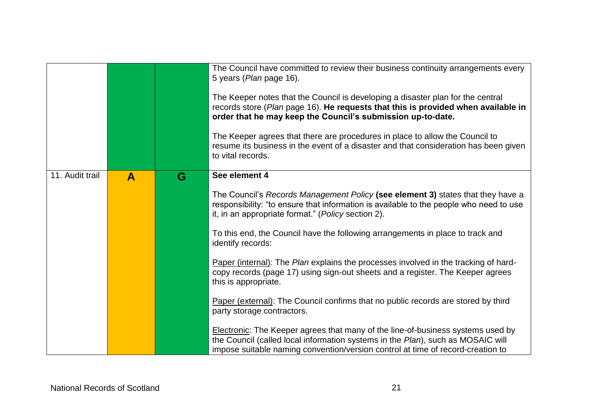|                 |   |   | The Council have committed to review their business continuity arrangements every<br>5 years ( <i>Plan</i> page 16).<br>The Keeper notes that the Council is developing a disaster plan for the central<br>records store (Plan page 16). He requests that this is provided when available in<br>order that he may keep the Council's submission up-to-date.<br>The Keeper agrees that there are procedures in place to allow the Council to<br>resume its business in the event of a disaster and that consideration has been given<br>to vital records. |
|-----------------|---|---|----------------------------------------------------------------------------------------------------------------------------------------------------------------------------------------------------------------------------------------------------------------------------------------------------------------------------------------------------------------------------------------------------------------------------------------------------------------------------------------------------------------------------------------------------------|
| 11. Audit trail | A | G | See element 4<br>The Council's Records Management Policy (see element 3) states that they have a<br>responsibility: "to ensure that information is available to the people who need to use<br>it, in an appropriate format." (Policy section 2).                                                                                                                                                                                                                                                                                                         |
|                 |   |   | To this end, the Council have the following arrangements in place to track and<br>identify records:                                                                                                                                                                                                                                                                                                                                                                                                                                                      |
|                 |   |   | Paper (internal): The Plan explains the processes involved in the tracking of hard-<br>copy records (page 17) using sign-out sheets and a register. The Keeper agrees<br>this is appropriate.                                                                                                                                                                                                                                                                                                                                                            |
|                 |   |   | Paper (external): The Council confirms that no public records are stored by third<br>party storage contractors.                                                                                                                                                                                                                                                                                                                                                                                                                                          |
|                 |   |   | Electronic: The Keeper agrees that many of the line-of-business systems used by<br>the Council (called local information systems in the Plan), such as MOSAIC will<br>impose suitable naming convention/version control at time of record-creation to                                                                                                                                                                                                                                                                                                    |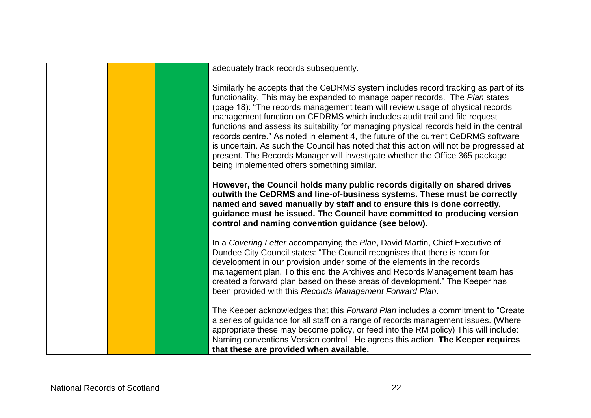adequately track records subsequently.

Similarly he accepts that the CeDRMS system includes record tracking as part of its functionality. This may be expanded to manage paper records. The *Plan* states (page 18): "The records management team will review usage of physical records management function on CEDRMS which includes audit trail and file request functions and assess its suitability for managing physical records held in the central records centre." As noted in element 4, the future of the current CeDRMS software is uncertain. As such the Council has noted that this action will not be progressed at present. The Records Manager will investigate whether the Office 365 package being implemented offers something similar.

**However, the Council holds many public records digitally on shared drives outwith the CeDRMS and line-of-business systems. These must be correctly named and saved manually by staff and to ensure this is done correctly, guidance must be issued. The Council have committed to producing version control and naming convention guidance (see below).** 

In a *Covering Letter* accompanying the *Plan*, David Martin, Chief Executive of Dundee City Council states: "The Council recognises that there is room for development in our provision under some of the elements in the records management plan. To this end the Archives and Records Management team has created a forward plan based on these areas of development." The Keeper has been provided with this *Records Management Forward Plan*.

The Keeper acknowledges that this *Forward Plan* includes a commitment to "Create a series of guidance for all staff on a range of records management issues. (Where appropriate these may become policy, or feed into the RM policy) This will include: Naming conventions Version control". He agrees this action. **The Keeper requires that these are provided when available.**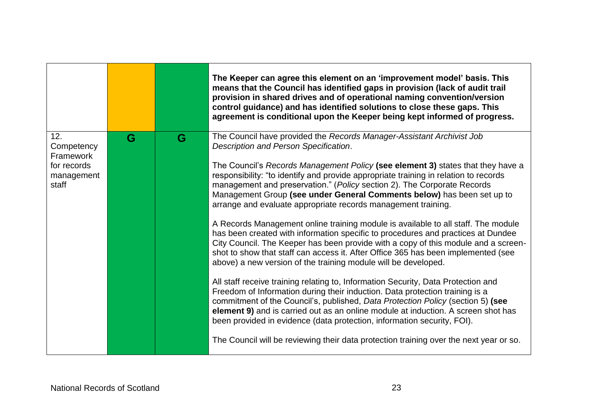|                                                 |   |   | The Keeper can agree this element on an 'improvement model' basis. This<br>means that the Council has identified gaps in provision (lack of audit trail<br>provision in shared drives and of operational naming convention/version<br>control guidance) and has identified solutions to close these gaps. This<br>agreement is conditional upon the Keeper being kept informed of progress.                          |
|-------------------------------------------------|---|---|----------------------------------------------------------------------------------------------------------------------------------------------------------------------------------------------------------------------------------------------------------------------------------------------------------------------------------------------------------------------------------------------------------------------|
| 12.<br>Competency                               | G | G | The Council have provided the Records Manager-Assistant Archivist Job<br>Description and Person Specification.                                                                                                                                                                                                                                                                                                       |
| Framework<br>for records<br>management<br>staff |   |   | The Council's Records Management Policy (see element 3) states that they have a<br>responsibility: "to identify and provide appropriate training in relation to records<br>management and preservation." (Policy section 2). The Corporate Records<br>Management Group (see under General Comments below) has been set up to<br>arrange and evaluate appropriate records management training.                        |
|                                                 |   |   | A Records Management online training module is available to all staff. The module<br>has been created with information specific to procedures and practices at Dundee<br>City Council. The Keeper has been provide with a copy of this module and a screen-<br>shot to show that staff can access it. After Office 365 has been implemented (see<br>above) a new version of the training module will be developed.   |
|                                                 |   |   | All staff receive training relating to, Information Security, Data Protection and<br>Freedom of Information during their induction. Data protection training is a<br>commitment of the Council's, published, Data Protection Policy (section 5) (see<br>element 9) and is carried out as an online module at induction. A screen shot has<br>been provided in evidence (data protection, information security, FOI). |
|                                                 |   |   | The Council will be reviewing their data protection training over the next year or so.                                                                                                                                                                                                                                                                                                                               |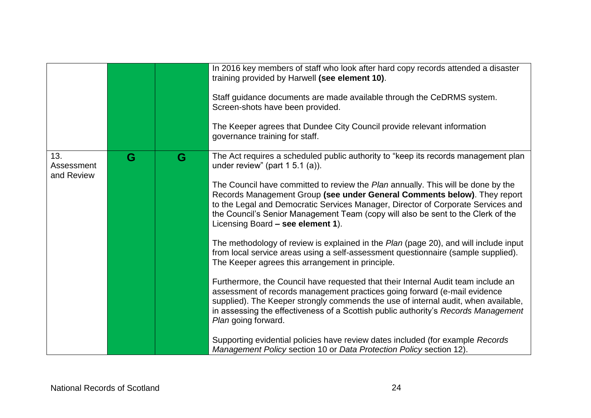|                                 |   |   | In 2016 key members of staff who look after hard copy records attended a disaster<br>training provided by Harwell (see element 10).<br>Staff guidance documents are made available through the CeDRMS system.<br>Screen-shots have been provided.<br>The Keeper agrees that Dundee City Council provide relevant information<br>governance training for staff.                                                                                                                                                                                                                                                                                                                                                                                                                                                                                                                                                                                                                                                                                                                                                                                                                                                                                                         |
|---------------------------------|---|---|------------------------------------------------------------------------------------------------------------------------------------------------------------------------------------------------------------------------------------------------------------------------------------------------------------------------------------------------------------------------------------------------------------------------------------------------------------------------------------------------------------------------------------------------------------------------------------------------------------------------------------------------------------------------------------------------------------------------------------------------------------------------------------------------------------------------------------------------------------------------------------------------------------------------------------------------------------------------------------------------------------------------------------------------------------------------------------------------------------------------------------------------------------------------------------------------------------------------------------------------------------------------|
| 13.<br>Assessment<br>and Review | G | G | The Act requires a scheduled public authority to "keep its records management plan<br>under review" (part $1\,5.1\,(a)$ ).<br>The Council have committed to review the Plan annually. This will be done by the<br>Records Management Group (see under General Comments below). They report<br>to the Legal and Democratic Services Manager, Director of Corporate Services and<br>the Council's Senior Management Team (copy will also be sent to the Clerk of the<br>Licensing Board - see element 1).<br>The methodology of review is explained in the Plan (page 20), and will include input<br>from local service areas using a self-assessment questionnaire (sample supplied).<br>The Keeper agrees this arrangement in principle.<br>Furthermore, the Council have requested that their Internal Audit team include an<br>assessment of records management practices going forward (e-mail evidence<br>supplied). The Keeper strongly commends the use of internal audit, when available,<br>in assessing the effectiveness of a Scottish public authority's Records Management<br>Plan going forward.<br>Supporting evidential policies have review dates included (for example Records<br>Management Policy section 10 or Data Protection Policy section 12). |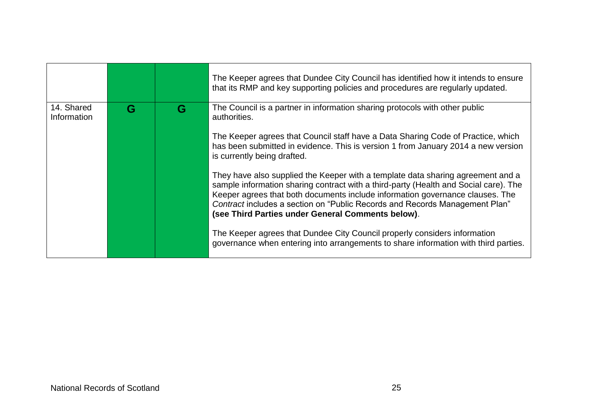|                           |   |   | The Keeper agrees that Dundee City Council has identified how it intends to ensure<br>that its RMP and key supporting policies and procedures are regularly updated.                                                                                                                                                                                                                         |
|---------------------------|---|---|----------------------------------------------------------------------------------------------------------------------------------------------------------------------------------------------------------------------------------------------------------------------------------------------------------------------------------------------------------------------------------------------|
| 14. Shared<br>Information | G | G | The Council is a partner in information sharing protocols with other public<br>authorities.                                                                                                                                                                                                                                                                                                  |
|                           |   |   | The Keeper agrees that Council staff have a Data Sharing Code of Practice, which<br>has been submitted in evidence. This is version 1 from January 2014 a new version<br>is currently being drafted.                                                                                                                                                                                         |
|                           |   |   | They have also supplied the Keeper with a template data sharing agreement and a<br>sample information sharing contract with a third-party (Health and Social care). The<br>Keeper agrees that both documents include information governance clauses. The<br>Contract includes a section on "Public Records and Records Management Plan"<br>(see Third Parties under General Comments below). |
|                           |   |   | The Keeper agrees that Dundee City Council properly considers information<br>governance when entering into arrangements to share information with third parties.                                                                                                                                                                                                                             |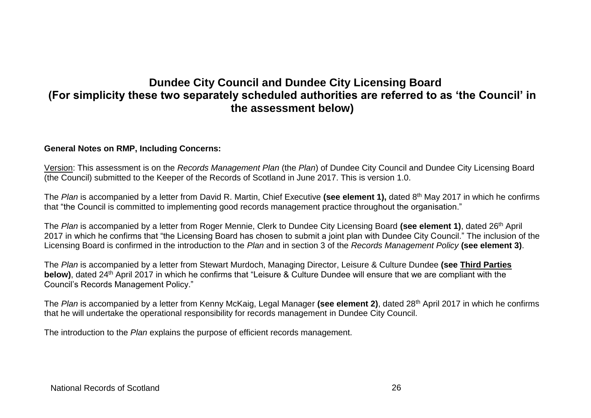# **Dundee City Council and Dundee City Licensing Board (For simplicity these two separately scheduled authorities are referred to as 'the Council' in the assessment below)**

#### **General Notes on RMP, Including Concerns:**

Version: This assessment is on the *Records Management Plan* (the *Plan*) of Dundee City Council and Dundee City Licensing Board (the Council) submitted to the Keeper of the Records of Scotland in June 2017. This is version 1.0.

The *Plan* is accompanied by a letter from David R. Martin, Chief Executive **(see element 1),** dated 8th May 2017 in which he confirms that "the Council is committed to implementing good records management practice throughout the organisation."

The *Plan* is accompanied by a letter from Roger Mennie, Clerk to Dundee City Licensing Board **(see element 1)**, dated 26th April 2017 in which he confirms that "the Licensing Board has chosen to submit a joint plan with Dundee City Council." The inclusion of the Licensing Board is confirmed in the introduction to the *Plan* and in section 3 of the *Records Management Policy* **(see element 3)**.

The *Plan* is accompanied by a letter from Stewart Murdoch, Managing Director, Leisure & Culture Dundee **(see Third Parties below)**, dated 24<sup>th</sup> April 2017 in which he confirms that "Leisure & Culture Dundee will ensure that we are compliant with the Council's Records Management Policy."

The *Plan* is accompanied by a letter from Kenny McKaig, Legal Manager **(see element 2)**, dated 28th April 2017 in which he confirms that he will undertake the operational responsibility for records management in Dundee City Council.

The introduction to the *Plan* explains the purpose of efficient records management.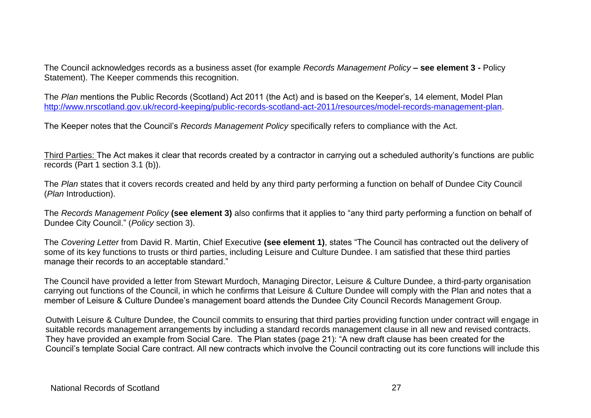The Council acknowledges records as a business asset (for example *Records Management Policy* **– see element 3 -** Policy Statement). The Keeper commends this recognition.

The *Plan* mentions the Public Records (Scotland) Act 2011 (the Act) and is based on the Keeper's, 14 element, Model Plan [http://www.nrscotland.gov.uk/record-keeping/public-records-scotland-act-2011/resources/model-records-management-plan.](http://www.nrscotland.gov.uk/record-keeping/public-records-scotland-act-2011/resources/model-records-management-plan)

The Keeper notes that the Council's *Records Management Policy* specifically refers to compliance with the Act.

Third Parties: The Act makes it clear that records created by a contractor in carrying out a scheduled authority's functions are public records (Part 1 section 3.1 (b)).

The *Plan* states that it covers records created and held by any third party performing a function on behalf of Dundee City Council (*Plan* Introduction).

The *Records Management Policy* **(see element 3)** also confirms that it applies to "any third party performing a function on behalf of Dundee City Council." (*Policy* section 3).

The *Covering Letter* from David R. Martin, Chief Executive **(see element 1)**, states "The Council has contracted out the delivery of some of its key functions to trusts or third parties, including Leisure and Culture Dundee. I am satisfied that these third parties manage their records to an acceptable standard."

The Council have provided a letter from Stewart Murdoch, Managing Director, Leisure & Culture Dundee, a third-party organisation carrying out functions of the Council, in which he confirms that Leisure & Culture Dundee will comply with the Plan and notes that a member of Leisure & Culture Dundee's management board attends the Dundee City Council Records Management Group.

Outwith Leisure & Culture Dundee, the Council commits to ensuring that third parties providing function under contract will engage in suitable records management arrangements by including a standard records management clause in all new and revised contracts. They have provided an example from Social Care. The Plan states (page 21): "A new draft clause has been created for the Council's template Social Care contract. All new contracts which involve the Council contracting out its core functions will include this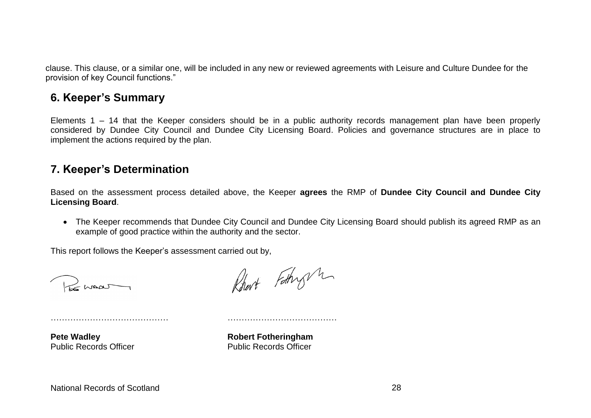clause. This clause, or a similar one, will be included in any new or reviewed agreements with Leisure and Culture Dundee for the provision of key Council functions."

#### **6. Keeper's Summary**

Elements 1 – 14 that the Keeper considers should be in a public authority records management plan have been properly considered by Dundee City Council and Dundee City Licensing Board. Policies and governance structures are in place to implement the actions required by the plan.

#### **7. Keeper's Determination**

Based on the assessment process detailed above, the Keeper **agrees** the RMP of **Dundee City Council and Dundee City Licensing Board**.

 The Keeper recommends that Dundee City Council and Dundee City Licensing Board should publish its agreed RMP as an example of good practice within the authority and the sector.

This report follows the Keeper's assessment carried out by,

Promot

Rhort Fothight

…………………………………… …………………………………

Public Records Officer Public Records Officer

**Pete Wadley <b>Robert Fotheringham**